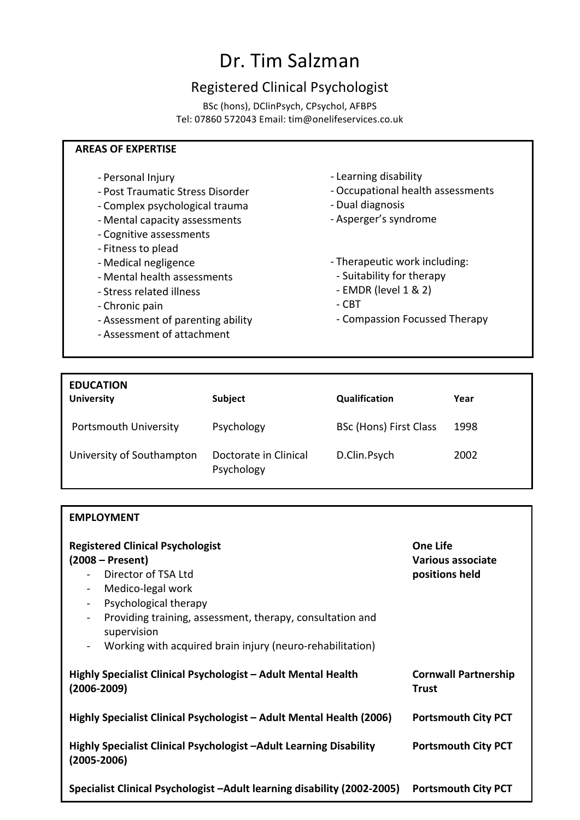## Dr. Tim Salzman

## Registered Clinical Psychologist

BSc (hons), DClinPsych, CPsychol, AFBPS Tel: 07860 572043 Email: tim@onelifeservices.co.uk

## **AREAS OF EXPERTISE**

- Personal Injury
- Post Traumatic Stress Disorder
- Complex psychological trauma
- Mental capacity assessments
- Cognitive assessments
- Fitness to plead
- Medical negligence
- Mental health assessments
- Stress related illness
- Chronic pain

**EMPLOYMENT**

- Assessment of parenting ability
- Assessment of attachment
- Learning disability
- Occupational health assessments
- Dual diagnosis
- Asperger's syndrome
- Therapeutic work including:
- Suitability for therapy
- $-$  EMDR (level 1 & 2)
- $-CBT$
- Compassion Focussed Therapy

| <b>EDUCATION</b><br><b>University</b> | Subject                             | <b>Qualification</b>          | Year |
|---------------------------------------|-------------------------------------|-------------------------------|------|
| Portsmouth University                 | Psychology                          | <b>BSc (Hons) First Class</b> | 1998 |
| University of Southampton             | Doctorate in Clinical<br>Psychology | D.Clin.Psych                  | 2002 |

| <b>Registered Clinical Psychologist</b><br>$(2008 - Present)$<br>Director of TSA Ltd<br>Medico-legal work<br>$\blacksquare$<br>Psychological therapy<br>$\blacksquare$<br>Providing training, assessment, therapy, consultation and<br>$\blacksquare$<br>supervision<br>Working with acquired brain injury (neuro-rehabilitation)<br>$\blacksquare$ | <b>One Life</b><br>Various associate<br>positions held |
|-----------------------------------------------------------------------------------------------------------------------------------------------------------------------------------------------------------------------------------------------------------------------------------------------------------------------------------------------------|--------------------------------------------------------|
| Highly Specialist Clinical Psychologist – Adult Mental Health<br>$(2006 - 2009)$                                                                                                                                                                                                                                                                    | <b>Cornwall Partnership</b><br><b>Trust</b>            |
| Highly Specialist Clinical Psychologist – Adult Mental Health (2006)                                                                                                                                                                                                                                                                                | <b>Portsmouth City PCT</b>                             |
| Highly Specialist Clinical Psychologist -Adult Learning Disability<br>$(2005 - 2006)$                                                                                                                                                                                                                                                               | <b>Portsmouth City PCT</b>                             |
| Specialist Clinical Psychologist - Adult learning disability (2002-2005)                                                                                                                                                                                                                                                                            | <b>Portsmouth City PCT</b>                             |